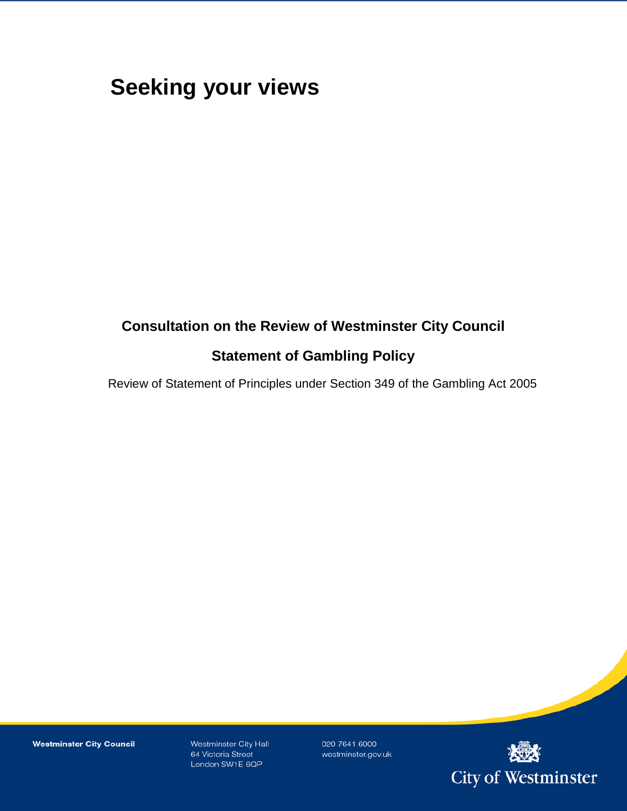# **Seeking your views**

# **Consultation on the Review of Westminster City Council**

# **Statement of Gambling Policy**

Review of Statement of Principles under Section 349 of the Gambling Act 2005

**Westminster City Council** 

Westminster City Hall 64 Victoria Street London SW1E 6QP

020 7641 6000 westminster.gov.uk

1

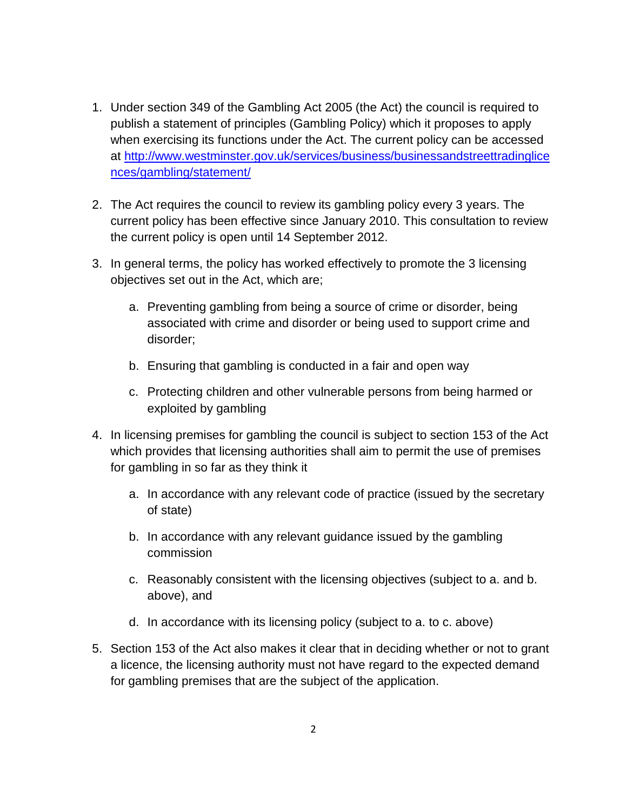- 1. Under section 349 of the Gambling Act 2005 (the Act) the council is required to publish a statement of principles (Gambling Policy) which it proposes to apply when exercising its functions under the Act. The current policy can be accessed at [http://www.westminster.gov.uk/services/business/businessandstreettradinglice](http://www.westminster.gov.uk/services/business/businessandstreettradinglicences/gambling/statement/) [nces/gambling/statement/](http://www.westminster.gov.uk/services/business/businessandstreettradinglicences/gambling/statement/)
- 2. The Act requires the council to review its gambling policy every 3 years. The current policy has been effective since January 2010. This consultation to review the current policy is open until 14 September 2012.
- 3. In general terms, the policy has worked effectively to promote the 3 licensing objectives set out in the Act, which are;
	- a. Preventing gambling from being a source of crime or disorder, being associated with crime and disorder or being used to support crime and disorder;
	- b. Ensuring that gambling is conducted in a fair and open way
	- c. Protecting children and other vulnerable persons from being harmed or exploited by gambling
- 4. In licensing premises for gambling the council is subject to section 153 of the Act which provides that licensing authorities shall aim to permit the use of premises for gambling in so far as they think it
	- a. In accordance with any relevant code of practice (issued by the secretary of state)
	- b. In accordance with any relevant guidance issued by the gambling commission
	- c. Reasonably consistent with the licensing objectives (subject to a. and b. above), and
	- d. In accordance with its licensing policy (subject to a. to c. above)
- 5. Section 153 of the Act also makes it clear that in deciding whether or not to grant a licence, the licensing authority must not have regard to the expected demand for gambling premises that are the subject of the application.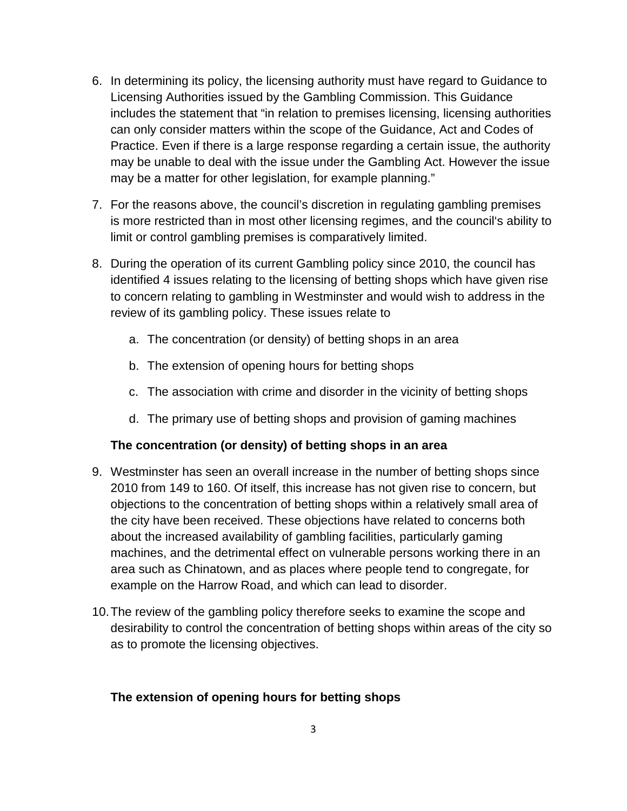- 6. In determining its policy, the licensing authority must have regard to Guidance to Licensing Authorities issued by the Gambling Commission. This Guidance includes the statement that "in relation to premises licensing, licensing authorities can only consider matters within the scope of the Guidance, Act and Codes of Practice. Even if there is a large response regarding a certain issue, the authority may be unable to deal with the issue under the Gambling Act. However the issue may be a matter for other legislation, for example planning."
- 7. For the reasons above, the council's discretion in regulating gambling premises is more restricted than in most other licensing regimes, and the council's ability to limit or control gambling premises is comparatively limited.
- 8. During the operation of its current Gambling policy since 2010, the council has identified 4 issues relating to the licensing of betting shops which have given rise to concern relating to gambling in Westminster and would wish to address in the review of its gambling policy. These issues relate to
	- a. The concentration (or density) of betting shops in an area
	- b. The extension of opening hours for betting shops
	- c. The association with crime and disorder in the vicinity of betting shops
	- d. The primary use of betting shops and provision of gaming machines

### **The concentration (or density) of betting shops in an area**

- 9. Westminster has seen an overall increase in the number of betting shops since 2010 from 149 to 160. Of itself, this increase has not given rise to concern, but objections to the concentration of betting shops within a relatively small area of the city have been received. These objections have related to concerns both about the increased availability of gambling facilities, particularly gaming machines, and the detrimental effect on vulnerable persons working there in an area such as Chinatown, and as places where people tend to congregate, for example on the Harrow Road, and which can lead to disorder.
- 10.The review of the gambling policy therefore seeks to examine the scope and desirability to control the concentration of betting shops within areas of the city so as to promote the licensing objectives.

#### **The extension of opening hours for betting shops**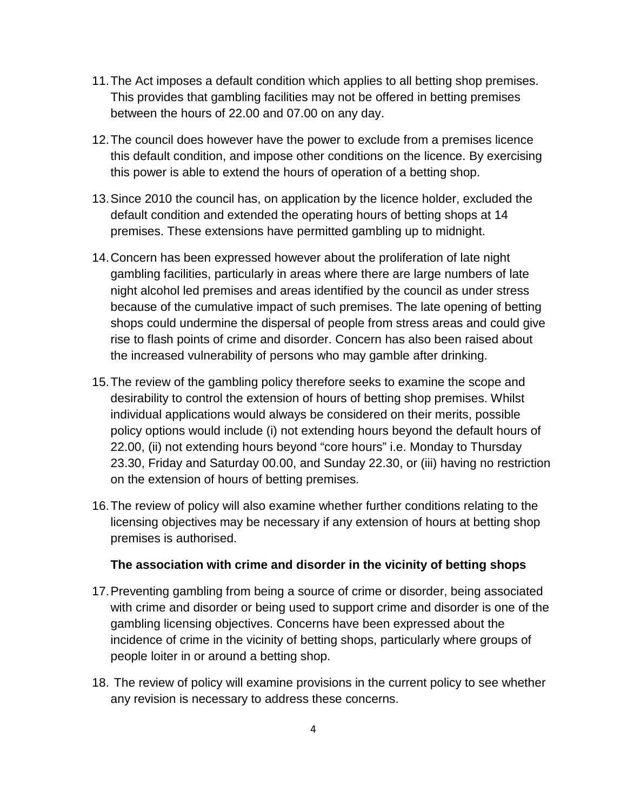- 11.The Act imposes a default condition which applies to all betting shop premises. This provides that gambling facilities may not be offered in betting premises between the hours of 22.00 and 07.00 on any day.
- 12.The council does however have the power to exclude from a premises licence this default condition, and impose other conditions on the licence. By exercising this power is able to extend the hours of operation of a betting shop.
- 13.Since 2010 the council has, on application by the licence holder, excluded the default condition and extended the operating hours of betting shops at 14 premises. These extensions have permitted gambling up to midnight.
- 14.Concern has been expressed however about the proliferation of late night gambling facilities, particularly in areas where there are large numbers of late night alcohol led premises and areas identified by the council as under stress because of the cumulative impact of such premises. The late opening of betting shops could undermine the dispersal of people from stress areas and could give rise to flash points of crime and disorder. Concern has also been raised about the increased vulnerability of persons who may gamble after drinking.
- 15.The review of the gambling policy therefore seeks to examine the scope and desirability to control the extension of hours of betting shop premises. Whilst individual applications would always be considered on their merits, possible policy options would include (i) not extending hours beyond the default hours of 22.00, (ii) not extending hours beyond "core hours" i.e. Monday to Thursday 23.30, Friday and Saturday 00.00, and Sunday 22.30, or (iii) having no restriction on the extension of hours of betting premises.
- 16.The review of policy will also examine whether further conditions relating to the licensing objectives may be necessary if any extension of hours at betting shop premises is authorised.

#### **The association with crime and disorder in the vicinity of betting shops**

- 17.Preventing gambling from being a source of crime or disorder, being associated with crime and disorder or being used to support crime and disorder is one of the gambling licensing objectives. Concerns have been expressed about the incidence of crime in the vicinity of betting shops, particularly where groups of people loiter in or around a betting shop.
- 18. The review of policy will examine provisions in the current policy to see whether any revision is necessary to address these concerns.